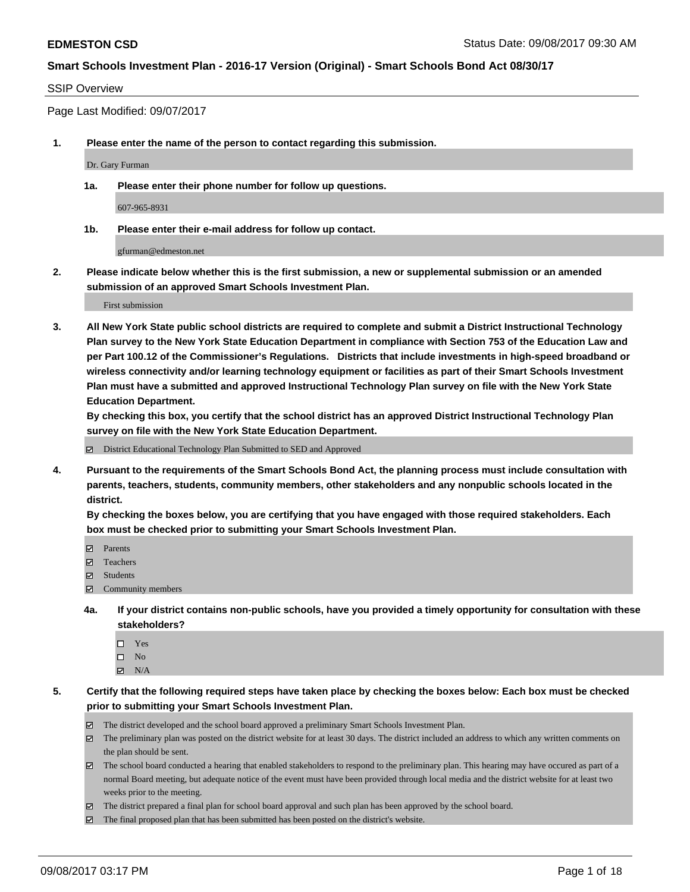#### SSIP Overview

Page Last Modified: 09/07/2017

**1. Please enter the name of the person to contact regarding this submission.**

Dr. Gary Furman

**1a. Please enter their phone number for follow up questions.**

607-965-8931

**1b. Please enter their e-mail address for follow up contact.**

gfurman@edmeston.net

**2. Please indicate below whether this is the first submission, a new or supplemental submission or an amended submission of an approved Smart Schools Investment Plan.**

First submission

**3. All New York State public school districts are required to complete and submit a District Instructional Technology Plan survey to the New York State Education Department in compliance with Section 753 of the Education Law and per Part 100.12 of the Commissioner's Regulations. Districts that include investments in high-speed broadband or wireless connectivity and/or learning technology equipment or facilities as part of their Smart Schools Investment Plan must have a submitted and approved Instructional Technology Plan survey on file with the New York State Education Department.** 

**By checking this box, you certify that the school district has an approved District Instructional Technology Plan survey on file with the New York State Education Department.**

District Educational Technology Plan Submitted to SED and Approved

**4. Pursuant to the requirements of the Smart Schools Bond Act, the planning process must include consultation with parents, teachers, students, community members, other stakeholders and any nonpublic schools located in the district.** 

**By checking the boxes below, you are certifying that you have engaged with those required stakeholders. Each box must be checked prior to submitting your Smart Schools Investment Plan.**

- **Parents**
- Teachers
- Students
- $\Xi$  Community members
- **4a. If your district contains non-public schools, have you provided a timely opportunity for consultation with these stakeholders?**
	- □ Yes
	- $\square$  No
	- $\boxtimes$  N/A

**5. Certify that the following required steps have taken place by checking the boxes below: Each box must be checked prior to submitting your Smart Schools Investment Plan.**

- The district developed and the school board approved a preliminary Smart Schools Investment Plan.
- The preliminary plan was posted on the district website for at least 30 days. The district included an address to which any written comments on the plan should be sent.
- The school board conducted a hearing that enabled stakeholders to respond to the preliminary plan. This hearing may have occured as part of a normal Board meeting, but adequate notice of the event must have been provided through local media and the district website for at least two weeks prior to the meeting.
- The district prepared a final plan for school board approval and such plan has been approved by the school board.
- $\boxtimes$  The final proposed plan that has been submitted has been posted on the district's website.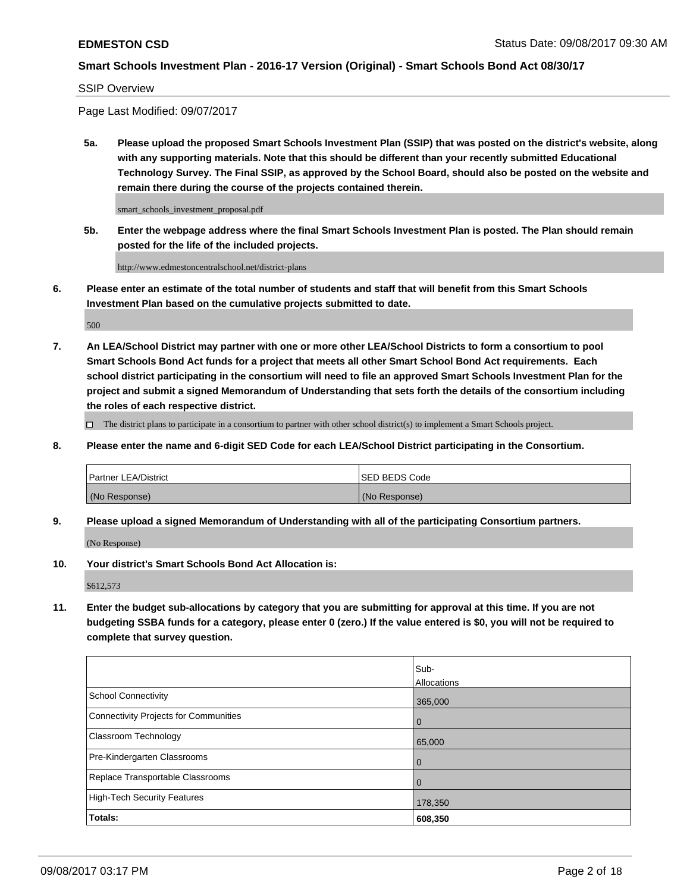SSIP Overview

Page Last Modified: 09/07/2017

**5a. Please upload the proposed Smart Schools Investment Plan (SSIP) that was posted on the district's website, along with any supporting materials. Note that this should be different than your recently submitted Educational Technology Survey. The Final SSIP, as approved by the School Board, should also be posted on the website and remain there during the course of the projects contained therein.**

smart\_schools\_investment\_proposal.pdf

**5b. Enter the webpage address where the final Smart Schools Investment Plan is posted. The Plan should remain posted for the life of the included projects.**

http://www.edmestoncentralschool.net/district-plans

**6. Please enter an estimate of the total number of students and staff that will benefit from this Smart Schools Investment Plan based on the cumulative projects submitted to date.**

500

**7. An LEA/School District may partner with one or more other LEA/School Districts to form a consortium to pool Smart Schools Bond Act funds for a project that meets all other Smart School Bond Act requirements. Each school district participating in the consortium will need to file an approved Smart Schools Investment Plan for the project and submit a signed Memorandum of Understanding that sets forth the details of the consortium including the roles of each respective district.**

 $\Box$  The district plans to participate in a consortium to partner with other school district(s) to implement a Smart Schools project.

**8. Please enter the name and 6-digit SED Code for each LEA/School District participating in the Consortium.**

| <b>Partner LEA/District</b> | <b>ISED BEDS Code</b> |
|-----------------------------|-----------------------|
| (No Response)               | (No Response)         |

**9. Please upload a signed Memorandum of Understanding with all of the participating Consortium partners.**

(No Response)

**10. Your district's Smart Schools Bond Act Allocation is:**

\$612,573

**11. Enter the budget sub-allocations by category that you are submitting for approval at this time. If you are not budgeting SSBA funds for a category, please enter 0 (zero.) If the value entered is \$0, you will not be required to complete that survey question.**

|                                       | Sub-        |
|---------------------------------------|-------------|
|                                       | Allocations |
| <b>School Connectivity</b>            | 365,000     |
| Connectivity Projects for Communities | $\mathbf 0$ |
| <b>Classroom Technology</b>           | 65,000      |
| Pre-Kindergarten Classrooms           | $\mathbf 0$ |
| Replace Transportable Classrooms      | 0           |
| <b>High-Tech Security Features</b>    | 178,350     |
| Totals:                               | 608,350     |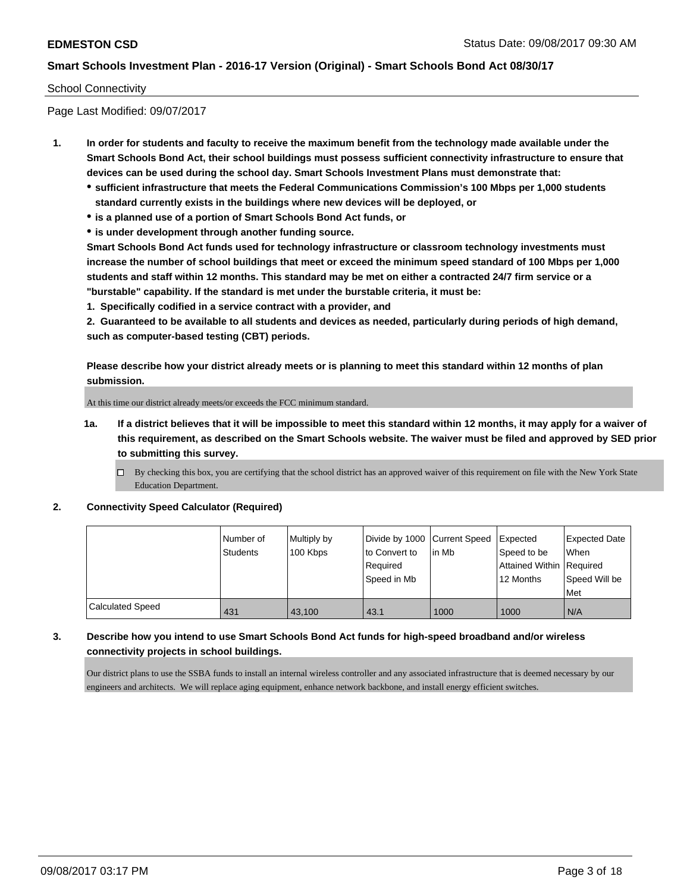### School Connectivity

Page Last Modified: 09/07/2017

- **1. In order for students and faculty to receive the maximum benefit from the technology made available under the Smart Schools Bond Act, their school buildings must possess sufficient connectivity infrastructure to ensure that devices can be used during the school day. Smart Schools Investment Plans must demonstrate that:**
	- **sufficient infrastructure that meets the Federal Communications Commission's 100 Mbps per 1,000 students standard currently exists in the buildings where new devices will be deployed, or**
	- **is a planned use of a portion of Smart Schools Bond Act funds, or**
	- **is under development through another funding source.**

**Smart Schools Bond Act funds used for technology infrastructure or classroom technology investments must increase the number of school buildings that meet or exceed the minimum speed standard of 100 Mbps per 1,000 students and staff within 12 months. This standard may be met on either a contracted 24/7 firm service or a "burstable" capability. If the standard is met under the burstable criteria, it must be:**

**1. Specifically codified in a service contract with a provider, and**

**2. Guaranteed to be available to all students and devices as needed, particularly during periods of high demand, such as computer-based testing (CBT) periods.**

**Please describe how your district already meets or is planning to meet this standard within 12 months of plan submission.**

At this time our district already meets/or exceeds the FCC minimum standard.

**1a. If a district believes that it will be impossible to meet this standard within 12 months, it may apply for a waiver of this requirement, as described on the Smart Schools website. The waiver must be filed and approved by SED prior to submitting this survey.**

#### **2. Connectivity Speed Calculator (Required)**

|                  | Number of<br><b>Students</b> | Multiply by<br>100 Kbps | Divide by 1000   Current Speed<br>to Convert to<br>Required<br>Speed in Mb | lin Mb | <b>Expected</b><br>Speed to be<br>Attained Within Required<br>12 Months | <b>Expected Date</b><br>When<br>Speed Will be<br><b>Met</b> |
|------------------|------------------------------|-------------------------|----------------------------------------------------------------------------|--------|-------------------------------------------------------------------------|-------------------------------------------------------------|
| Calculated Speed | 431                          | 43.100                  | 43.1                                                                       | 1000   | 1000                                                                    | N/A                                                         |

## **3. Describe how you intend to use Smart Schools Bond Act funds for high-speed broadband and/or wireless connectivity projects in school buildings.**

Our district plans to use the SSBA funds to install an internal wireless controller and any associated infrastructure that is deemed necessary by our engineers and architects. We will replace aging equipment, enhance network backbone, and install energy efficient switches.

 $\Box$  By checking this box, you are certifying that the school district has an approved waiver of this requirement on file with the New York State Education Department.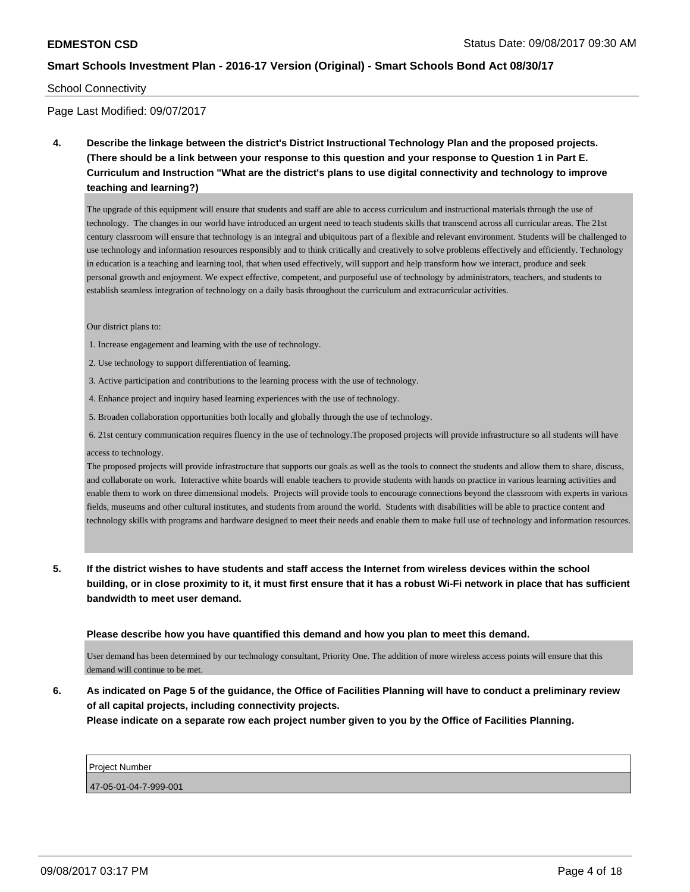#### School Connectivity

Page Last Modified: 09/07/2017

**4. Describe the linkage between the district's District Instructional Technology Plan and the proposed projects. (There should be a link between your response to this question and your response to Question 1 in Part E. Curriculum and Instruction "What are the district's plans to use digital connectivity and technology to improve teaching and learning?)**

The upgrade of this equipment will ensure that students and staff are able to access curriculum and instructional materials through the use of technology. The changes in our world have introduced an urgent need to teach students skills that transcend across all curricular areas. The 21st century classroom will ensure that technology is an integral and ubiquitous part of a flexible and relevant environment. Students will be challenged to use technology and information resources responsibly and to think critically and creatively to solve problems effectively and efficiently. Technology in education is a teaching and learning tool, that when used effectively, will support and help transform how we interact, produce and seek personal growth and enjoyment. We expect effective, competent, and purposeful use of technology by administrators, teachers, and students to establish seamless integration of technology on a daily basis throughout the curriculum and extracurricular activities.

Our district plans to:

- 1. Increase engagement and learning with the use of technology.
- 2. Use technology to support differentiation of learning.
- 3. Active participation and contributions to the learning process with the use of technology.
- 4. Enhance project and inquiry based learning experiences with the use of technology.
- 5. Broaden collaboration opportunities both locally and globally through the use of technology.

 6. 21st century communication requires fluency in the use of technology.The proposed projects will provide infrastructure so all students will have access to technology.

The proposed projects will provide infrastructure that supports our goals as well as the tools to connect the students and allow them to share, discuss, and collaborate on work. Interactive white boards will enable teachers to provide students with hands on practice in various learning activities and enable them to work on three dimensional models. Projects will provide tools to encourage connections beyond the classroom with experts in various fields, museums and other cultural institutes, and students from around the world. Students with disabilities will be able to practice content and technology skills with programs and hardware designed to meet their needs and enable them to make full use of technology and information resources.

**5. If the district wishes to have students and staff access the Internet from wireless devices within the school building, or in close proximity to it, it must first ensure that it has a robust Wi-Fi network in place that has sufficient bandwidth to meet user demand.**

**Please describe how you have quantified this demand and how you plan to meet this demand.**

User demand has been determined by our technology consultant, Priority One. The addition of more wireless access points will ensure that this demand will continue to be met.

**6. As indicated on Page 5 of the guidance, the Office of Facilities Planning will have to conduct a preliminary review of all capital projects, including connectivity projects. Please indicate on a separate row each project number given to you by the Office of Facilities Planning.**

| <b>Project Number</b> |  |  |
|-----------------------|--|--|
|                       |  |  |
| 47-05-01-04-7-999-001 |  |  |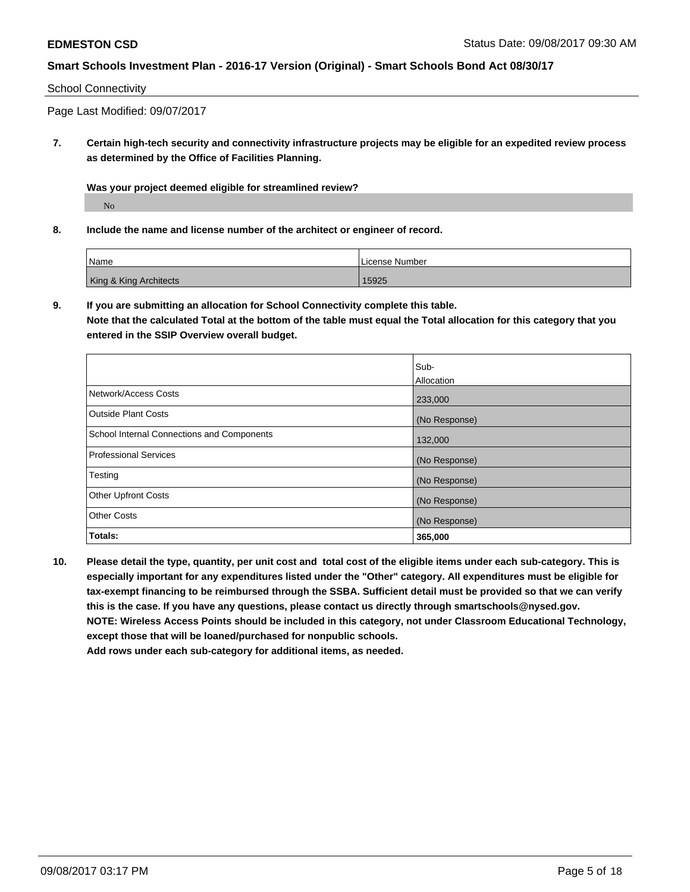### School Connectivity

Page Last Modified: 09/07/2017

**7. Certain high-tech security and connectivity infrastructure projects may be eligible for an expedited review process as determined by the Office of Facilities Planning.**

**Was your project deemed eligible for streamlined review?**

No

**8. Include the name and license number of the architect or engineer of record.**

| <sup>'</sup> Name      | License Number |
|------------------------|----------------|
| King & King Architects | 15925          |

**9. If you are submitting an allocation for School Connectivity complete this table. Note that the calculated Total at the bottom of the table must equal the Total allocation for this category that you entered in the SSIP Overview overall budget.** 

|                                                   | lSub-             |
|---------------------------------------------------|-------------------|
|                                                   | <b>Allocation</b> |
| Network/Access Costs                              | 233,000           |
| Outside Plant Costs                               | (No Response)     |
| <b>School Internal Connections and Components</b> | 132,000           |
| <b>Professional Services</b>                      | (No Response)     |
| Testing                                           | (No Response)     |
| <b>Other Upfront Costs</b>                        | (No Response)     |
| <b>Other Costs</b>                                | (No Response)     |
| Totals:                                           | 365,000           |

**10. Please detail the type, quantity, per unit cost and total cost of the eligible items under each sub-category. This is especially important for any expenditures listed under the "Other" category. All expenditures must be eligible for tax-exempt financing to be reimbursed through the SSBA. Sufficient detail must be provided so that we can verify this is the case. If you have any questions, please contact us directly through smartschools@nysed.gov. NOTE: Wireless Access Points should be included in this category, not under Classroom Educational Technology, except those that will be loaned/purchased for nonpublic schools.**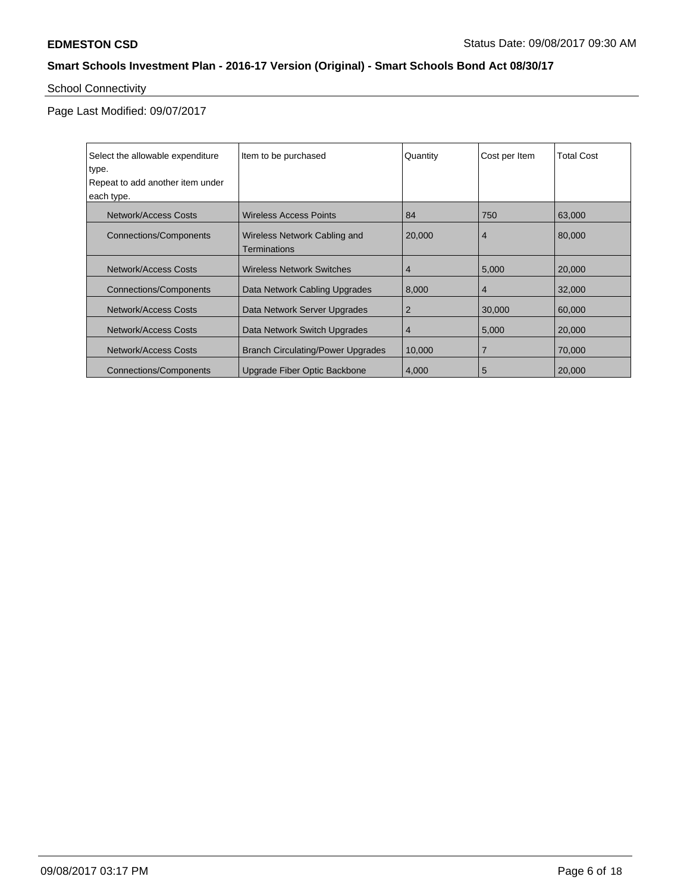# School Connectivity

| Select the allowable expenditure | Item to be purchased                     | Quantity       | Cost per Item  | <b>Total Cost</b> |
|----------------------------------|------------------------------------------|----------------|----------------|-------------------|
| type.                            |                                          |                |                |                   |
| Repeat to add another item under |                                          |                |                |                   |
| each type.                       |                                          |                |                |                   |
| Network/Access Costs             | <b>Wireless Access Points</b>            | 84             | 750            | 63,000            |
| Connections/Components           | Wireless Network Cabling and             | 20,000         | $\overline{4}$ | 80,000            |
|                                  | <b>Terminations</b>                      |                |                |                   |
| Network/Access Costs             | <b>Wireless Network Switches</b>         | $\overline{4}$ | 5,000          | 20,000            |
| <b>Connections/Components</b>    | Data Network Cabling Upgrades            | 8,000          | $\overline{4}$ | 32,000            |
| Network/Access Costs             | Data Network Server Upgrades             | $\overline{2}$ | 30,000         | 60,000            |
| Network/Access Costs             | Data Network Switch Upgrades             | $\overline{4}$ | 5,000          | 20,000            |
| Network/Access Costs             | <b>Branch Circulating/Power Upgrades</b> | 10,000         |                | 70,000            |
| Connections/Components           | Upgrade Fiber Optic Backbone             | 4.000          | 5              | 20,000            |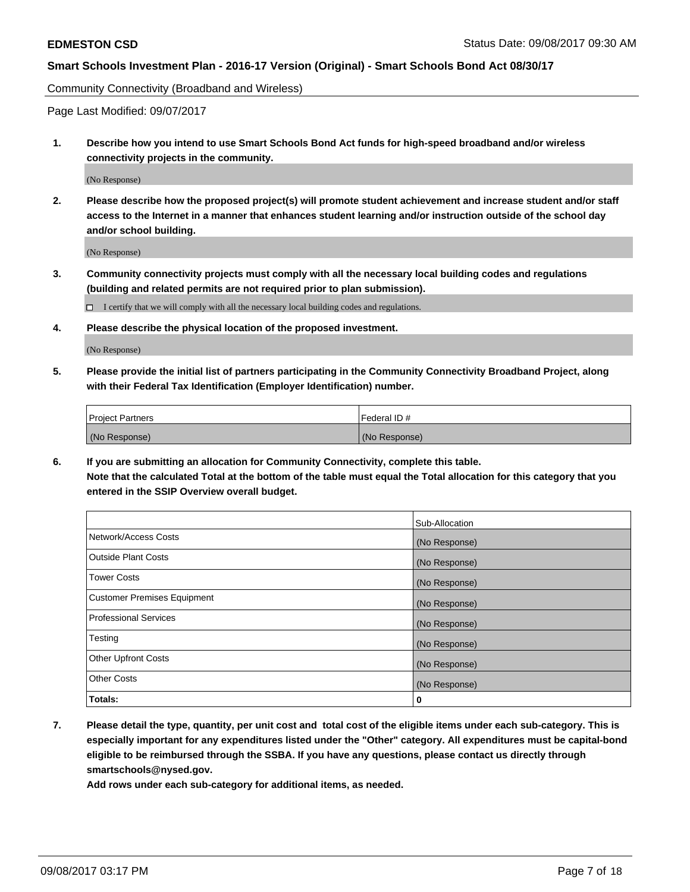Community Connectivity (Broadband and Wireless)

Page Last Modified: 09/07/2017

**1. Describe how you intend to use Smart Schools Bond Act funds for high-speed broadband and/or wireless connectivity projects in the community.**

(No Response)

**2. Please describe how the proposed project(s) will promote student achievement and increase student and/or staff access to the Internet in a manner that enhances student learning and/or instruction outside of the school day and/or school building.**

(No Response)

**3. Community connectivity projects must comply with all the necessary local building codes and regulations (building and related permits are not required prior to plan submission).**

 $\Box$  I certify that we will comply with all the necessary local building codes and regulations.

**4. Please describe the physical location of the proposed investment.**

(No Response)

**5. Please provide the initial list of partners participating in the Community Connectivity Broadband Project, along with their Federal Tax Identification (Employer Identification) number.**

| <b>Project Partners</b> | l Federal ID # |
|-------------------------|----------------|
| (No Response)           | (No Response)  |

**6. If you are submitting an allocation for Community Connectivity, complete this table. Note that the calculated Total at the bottom of the table must equal the Total allocation for this category that you entered in the SSIP Overview overall budget.**

|                                    | Sub-Allocation |
|------------------------------------|----------------|
| Network/Access Costs               | (No Response)  |
| <b>Outside Plant Costs</b>         | (No Response)  |
| <b>Tower Costs</b>                 | (No Response)  |
| <b>Customer Premises Equipment</b> | (No Response)  |
| <b>Professional Services</b>       | (No Response)  |
| Testing                            | (No Response)  |
| <b>Other Upfront Costs</b>         | (No Response)  |
| <b>Other Costs</b>                 | (No Response)  |
| Totals:                            | 0              |

**7. Please detail the type, quantity, per unit cost and total cost of the eligible items under each sub-category. This is especially important for any expenditures listed under the "Other" category. All expenditures must be capital-bond eligible to be reimbursed through the SSBA. If you have any questions, please contact us directly through smartschools@nysed.gov.**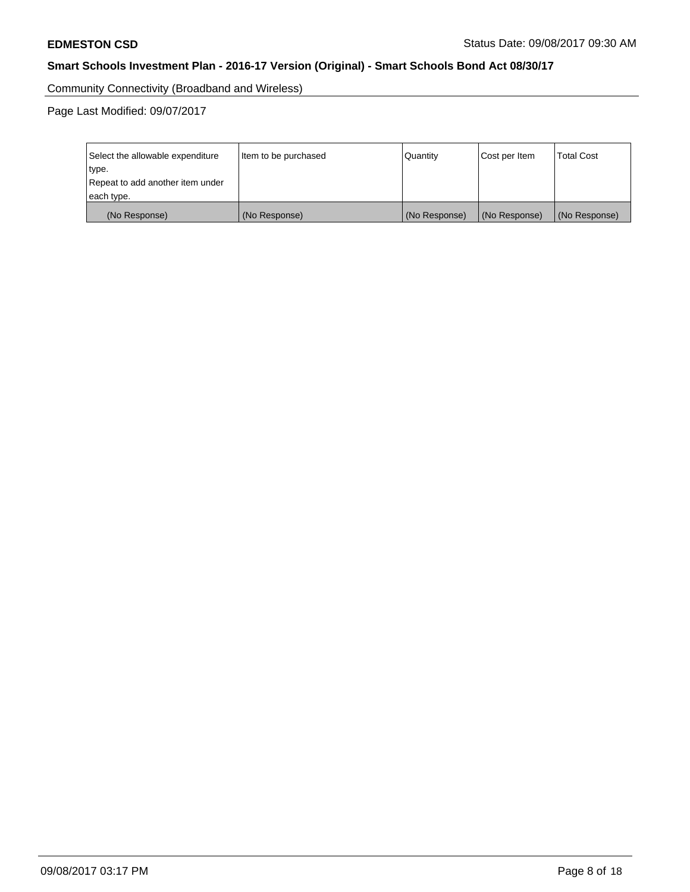Community Connectivity (Broadband and Wireless)

| Select the allowable expenditure<br>type.<br>Repeat to add another item under | Item to be purchased | Quantity      | Cost per Item | <b>Total Cost</b> |
|-------------------------------------------------------------------------------|----------------------|---------------|---------------|-------------------|
| each type.                                                                    |                      |               |               |                   |
| (No Response)                                                                 | (No Response)        | (No Response) | (No Response) | (No Response)     |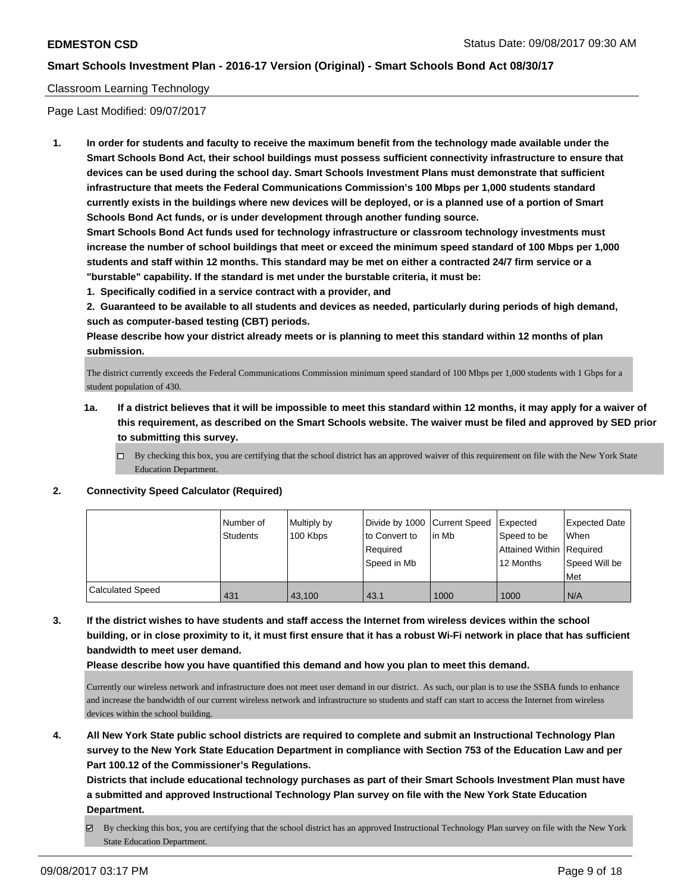## Classroom Learning Technology

Page Last Modified: 09/07/2017

**1. In order for students and faculty to receive the maximum benefit from the technology made available under the Smart Schools Bond Act, their school buildings must possess sufficient connectivity infrastructure to ensure that devices can be used during the school day. Smart Schools Investment Plans must demonstrate that sufficient infrastructure that meets the Federal Communications Commission's 100 Mbps per 1,000 students standard currently exists in the buildings where new devices will be deployed, or is a planned use of a portion of Smart Schools Bond Act funds, or is under development through another funding source.**

**Smart Schools Bond Act funds used for technology infrastructure or classroom technology investments must increase the number of school buildings that meet or exceed the minimum speed standard of 100 Mbps per 1,000 students and staff within 12 months. This standard may be met on either a contracted 24/7 firm service or a "burstable" capability. If the standard is met under the burstable criteria, it must be:**

**1. Specifically codified in a service contract with a provider, and**

**2. Guaranteed to be available to all students and devices as needed, particularly during periods of high demand, such as computer-based testing (CBT) periods.**

**Please describe how your district already meets or is planning to meet this standard within 12 months of plan submission.**

The district currently exceeds the Federal Communications Commission minimum speed standard of 100 Mbps per 1,000 students with 1 Gbps for a student population of 430.

- **1a. If a district believes that it will be impossible to meet this standard within 12 months, it may apply for a waiver of this requirement, as described on the Smart Schools website. The waiver must be filed and approved by SED prior to submitting this survey.**
	- $\Box$  By checking this box, you are certifying that the school district has an approved waiver of this requirement on file with the New York State Education Department.

#### **2. Connectivity Speed Calculator (Required)**

|                         | l Number of<br><b>Students</b> | Multiply by<br>100 Kbps | Divide by 1000 Current Speed<br>to Convert to<br>Required<br>Speed in Mb | lin Mb | <b>Expected</b><br>Speed to be<br>Attained Within Required<br>12 Months | Expected Date<br>When<br>Speed Will be<br>Met |
|-------------------------|--------------------------------|-------------------------|--------------------------------------------------------------------------|--------|-------------------------------------------------------------------------|-----------------------------------------------|
| <b>Calculated Speed</b> | 431                            | 43.100                  | 43.1                                                                     | 1000   | 1000                                                                    | N/A                                           |

**3. If the district wishes to have students and staff access the Internet from wireless devices within the school building, or in close proximity to it, it must first ensure that it has a robust Wi-Fi network in place that has sufficient bandwidth to meet user demand.**

**Please describe how you have quantified this demand and how you plan to meet this demand.**

Currently our wireless network and infrastructure does not meet user demand in our district. As such, our plan is to use the SSBA funds to enhance and increase the bandwidth of our current wireless network and infrastructure so students and staff can start to access the Internet from wireless devices within the school building.

**4. All New York State public school districts are required to complete and submit an Instructional Technology Plan survey to the New York State Education Department in compliance with Section 753 of the Education Law and per Part 100.12 of the Commissioner's Regulations.**

**Districts that include educational technology purchases as part of their Smart Schools Investment Plan must have a submitted and approved Instructional Technology Plan survey on file with the New York State Education Department.**

By checking this box, you are certifying that the school district has an approved Instructional Technology Plan survey on file with the New York State Education Department.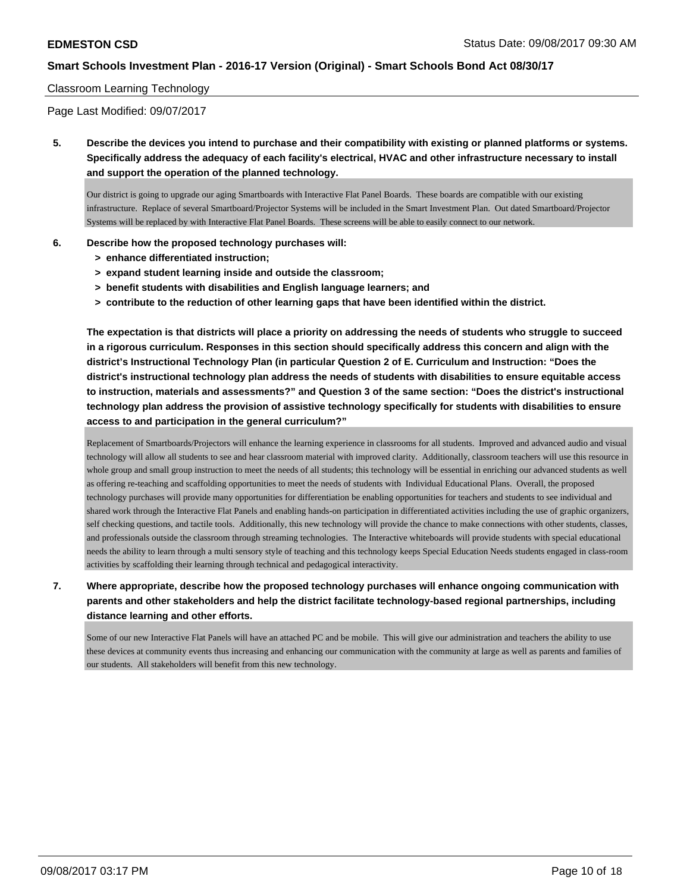## Classroom Learning Technology

Page Last Modified: 09/07/2017

**5. Describe the devices you intend to purchase and their compatibility with existing or planned platforms or systems. Specifically address the adequacy of each facility's electrical, HVAC and other infrastructure necessary to install and support the operation of the planned technology.**

Our district is going to upgrade our aging Smartboards with Interactive Flat Panel Boards. These boards are compatible with our existing infrastructure. Replace of several Smartboard/Projector Systems will be included in the Smart Investment Plan. Out dated Smartboard/Projector Systems will be replaced by with Interactive Flat Panel Boards. These screens will be able to easily connect to our network.

- **6. Describe how the proposed technology purchases will:**
	- **> enhance differentiated instruction;**
	- **> expand student learning inside and outside the classroom;**
	- **> benefit students with disabilities and English language learners; and**
	- **> contribute to the reduction of other learning gaps that have been identified within the district.**

**The expectation is that districts will place a priority on addressing the needs of students who struggle to succeed in a rigorous curriculum. Responses in this section should specifically address this concern and align with the district's Instructional Technology Plan (in particular Question 2 of E. Curriculum and Instruction: "Does the district's instructional technology plan address the needs of students with disabilities to ensure equitable access to instruction, materials and assessments?" and Question 3 of the same section: "Does the district's instructional technology plan address the provision of assistive technology specifically for students with disabilities to ensure access to and participation in the general curriculum?"**

Replacement of Smartboards/Projectors will enhance the learning experience in classrooms for all students. Improved and advanced audio and visual technology will allow all students to see and hear classroom material with improved clarity. Additionally, classroom teachers will use this resource in whole group and small group instruction to meet the needs of all students; this technology will be essential in enriching our advanced students as well as offering re-teaching and scaffolding opportunities to meet the needs of students with Individual Educational Plans. Overall, the proposed technology purchases will provide many opportunities for differentiation be enabling opportunities for teachers and students to see individual and shared work through the Interactive Flat Panels and enabling hands-on participation in differentiated activities including the use of graphic organizers, self checking questions, and tactile tools. Additionally, this new technology will provide the chance to make connections with other students, classes, and professionals outside the classroom through streaming technologies. The Interactive whiteboards will provide students with special educational needs the ability to learn through a multi sensory style of teaching and this technology keeps Special Education Needs students engaged in class-room activities by scaffolding their learning through technical and pedagogical interactivity.

**7. Where appropriate, describe how the proposed technology purchases will enhance ongoing communication with parents and other stakeholders and help the district facilitate technology-based regional partnerships, including distance learning and other efforts.**

Some of our new Interactive Flat Panels will have an attached PC and be mobile. This will give our administration and teachers the ability to use these devices at community events thus increasing and enhancing our communication with the community at large as well as parents and families of our students. All stakeholders will benefit from this new technology.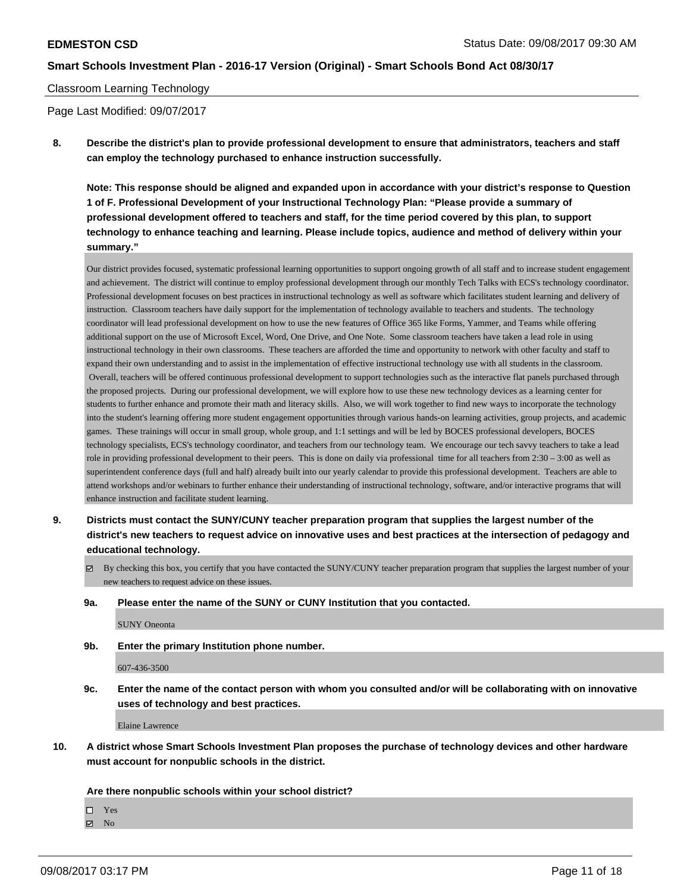#### Classroom Learning Technology

Page Last Modified: 09/07/2017

**8. Describe the district's plan to provide professional development to ensure that administrators, teachers and staff can employ the technology purchased to enhance instruction successfully.**

**Note: This response should be aligned and expanded upon in accordance with your district's response to Question 1 of F. Professional Development of your Instructional Technology Plan: "Please provide a summary of professional development offered to teachers and staff, for the time period covered by this plan, to support technology to enhance teaching and learning. Please include topics, audience and method of delivery within your summary."**

Our district provides focused, systematic professional learning opportunities to support ongoing growth of all staff and to increase student engagement and achievement. The district will continue to employ professional development through our monthly Tech Talks with ECS's technology coordinator. Professional development focuses on best practices in instructional technology as well as software which facilitates student learning and delivery of instruction. Classroom teachers have daily support for the implementation of technology available to teachers and students. The technology coordinator will lead professional development on how to use the new features of Office 365 like Forms, Yammer, and Teams while offering additional support on the use of Microsoft Excel, Word, One Drive, and One Note. Some classroom teachers have taken a lead role in using instructional technology in their own classrooms. These teachers are afforded the time and opportunity to network with other faculty and staff to expand their own understanding and to assist in the implementation of effective instructional technology use with all students in the classroom. Overall, teachers will be offered continuous professional development to support technologies such as the interactive flat panels purchased through the proposed projects. During our professional development, we will explore how to use these new technology devices as a learning center for students to further enhance and promote their math and literacy skills. Also, we will work together to find new ways to incorporate the technology into the student's learning offering more student engagement opportunities through various hands-on learning activities, group projects, and academic games. These trainings will occur in small group, whole group, and 1:1 settings and will be led by BOCES professional developers, BOCES technology specialists, ECS's technology coordinator, and teachers from our technology team. We encourage our tech savvy teachers to take a lead role in providing professional development to their peers. This is done on daily via professional time for all teachers from 2:30 – 3:00 as well as superintendent conference days (full and half) already built into our yearly calendar to provide this professional development. Teachers are able to attend workshops and/or webinars to further enhance their understanding of instructional technology, software, and/or interactive programs that will enhance instruction and facilitate student learning.

- **9. Districts must contact the SUNY/CUNY teacher preparation program that supplies the largest number of the district's new teachers to request advice on innovative uses and best practices at the intersection of pedagogy and educational technology.**
	- $\boxtimes$  By checking this box, you certify that you have contacted the SUNY/CUNY teacher preparation program that supplies the largest number of your new teachers to request advice on these issues.
	- **9a. Please enter the name of the SUNY or CUNY Institution that you contacted.**

SUNY Oneonta

**9b. Enter the primary Institution phone number.**

607-436-3500

**9c. Enter the name of the contact person with whom you consulted and/or will be collaborating with on innovative uses of technology and best practices.**

Elaine Lawrence

**10. A district whose Smart Schools Investment Plan proposes the purchase of technology devices and other hardware must account for nonpublic schools in the district.**

#### **Are there nonpublic schools within your school district?**

Yes

 $\boxtimes$  No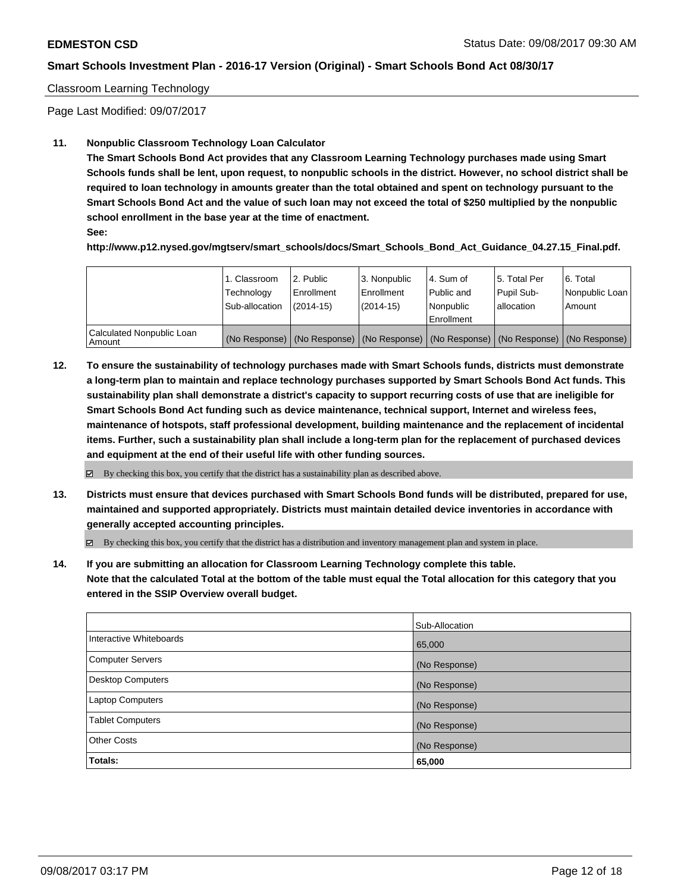## Classroom Learning Technology

Page Last Modified: 09/07/2017

## **11. Nonpublic Classroom Technology Loan Calculator**

**The Smart Schools Bond Act provides that any Classroom Learning Technology purchases made using Smart Schools funds shall be lent, upon request, to nonpublic schools in the district. However, no school district shall be required to loan technology in amounts greater than the total obtained and spent on technology pursuant to the Smart Schools Bond Act and the value of such loan may not exceed the total of \$250 multiplied by the nonpublic school enrollment in the base year at the time of enactment.**

**See:**

**http://www.p12.nysed.gov/mgtserv/smart\_schools/docs/Smart\_Schools\_Bond\_Act\_Guidance\_04.27.15\_Final.pdf.**

|                                       | 1. Classroom<br>Technology<br>Sub-allocation | 2. Public<br>l Enrollment<br>$(2014-15)$ | 3. Nonpublic<br>Enrollment<br>$(2014-15)$ | l 4. Sum of<br>Public and<br>l Nonpublic<br>l Enrollment | 15. Total Per<br>Pupil Sub-<br>lallocation | 6. Total<br>Nonpublic Loan  <br>Amount                                                        |
|---------------------------------------|----------------------------------------------|------------------------------------------|-------------------------------------------|----------------------------------------------------------|--------------------------------------------|-----------------------------------------------------------------------------------------------|
| Calculated Nonpublic Loan<br>l Amount |                                              |                                          |                                           |                                                          |                                            | (No Response)   (No Response)   (No Response)   (No Response)   (No Response)   (No Response) |

**12. To ensure the sustainability of technology purchases made with Smart Schools funds, districts must demonstrate a long-term plan to maintain and replace technology purchases supported by Smart Schools Bond Act funds. This sustainability plan shall demonstrate a district's capacity to support recurring costs of use that are ineligible for Smart Schools Bond Act funding such as device maintenance, technical support, Internet and wireless fees, maintenance of hotspots, staff professional development, building maintenance and the replacement of incidental items. Further, such a sustainability plan shall include a long-term plan for the replacement of purchased devices and equipment at the end of their useful life with other funding sources.**

 $\boxtimes$  By checking this box, you certify that the district has a sustainability plan as described above.

**13. Districts must ensure that devices purchased with Smart Schools Bond funds will be distributed, prepared for use, maintained and supported appropriately. Districts must maintain detailed device inventories in accordance with generally accepted accounting principles.**

By checking this box, you certify that the district has a distribution and inventory management plan and system in place.

**14. If you are submitting an allocation for Classroom Learning Technology complete this table. Note that the calculated Total at the bottom of the table must equal the Total allocation for this category that you entered in the SSIP Overview overall budget.**

|                         | Sub-Allocation |
|-------------------------|----------------|
| Interactive Whiteboards | 65,000         |
| Computer Servers        | (No Response)  |
| Desktop Computers       | (No Response)  |
| Laptop Computers        | (No Response)  |
| <b>Tablet Computers</b> | (No Response)  |
| <b>Other Costs</b>      | (No Response)  |
| Totals:                 | 65,000         |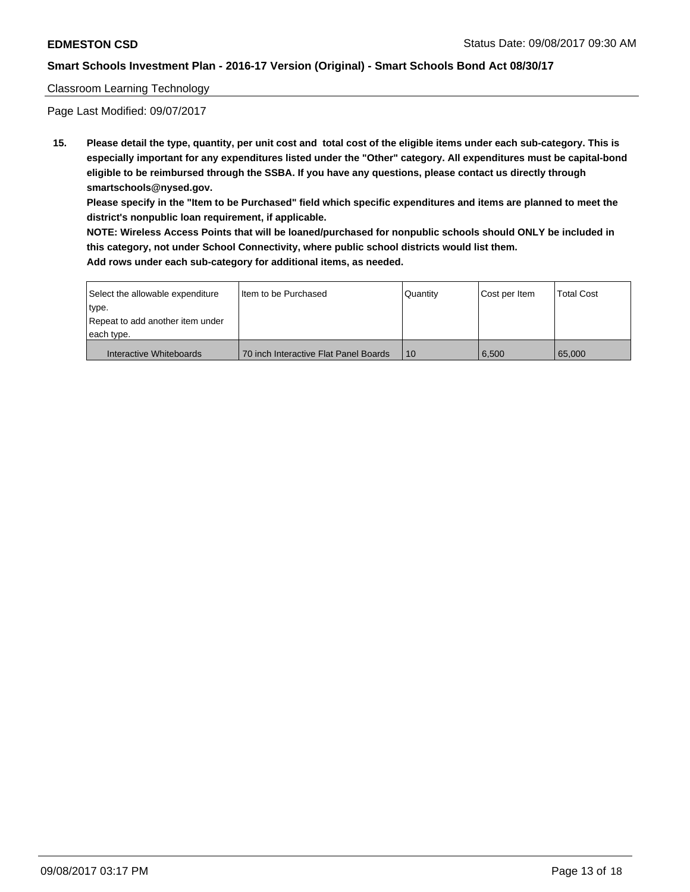### Classroom Learning Technology

Page Last Modified: 09/07/2017

**15. Please detail the type, quantity, per unit cost and total cost of the eligible items under each sub-category. This is especially important for any expenditures listed under the "Other" category. All expenditures must be capital-bond eligible to be reimbursed through the SSBA. If you have any questions, please contact us directly through smartschools@nysed.gov.**

**Please specify in the "Item to be Purchased" field which specific expenditures and items are planned to meet the district's nonpublic loan requirement, if applicable.**

**NOTE: Wireless Access Points that will be loaned/purchased for nonpublic schools should ONLY be included in this category, not under School Connectivity, where public school districts would list them. Add rows under each sub-category for additional items, as needed.**

| Select the allowable expenditure | I Item to be Purchased                | Quantity | Cost per Item | <b>Total Cost</b> |
|----------------------------------|---------------------------------------|----------|---------------|-------------------|
| type.                            |                                       |          |               |                   |
| Repeat to add another item under |                                       |          |               |                   |
| each type.                       |                                       |          |               |                   |
| Interactive Whiteboards          | 70 inch Interactive Flat Panel Boards | 10       | 6.500         | 65.000            |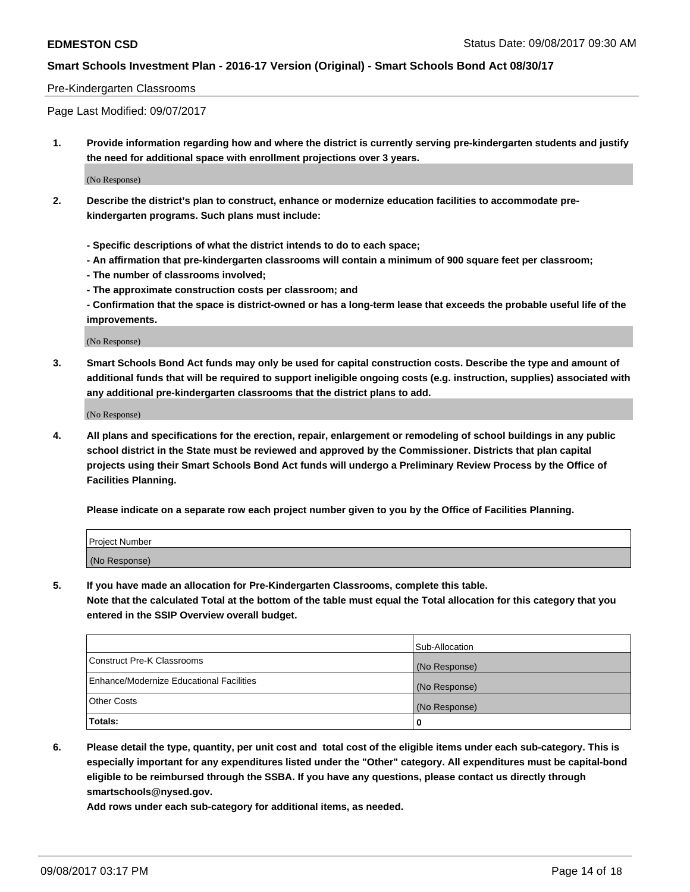#### Pre-Kindergarten Classrooms

Page Last Modified: 09/07/2017

**1. Provide information regarding how and where the district is currently serving pre-kindergarten students and justify the need for additional space with enrollment projections over 3 years.**

(No Response)

- **2. Describe the district's plan to construct, enhance or modernize education facilities to accommodate prekindergarten programs. Such plans must include:**
	- **Specific descriptions of what the district intends to do to each space;**
	- **An affirmation that pre-kindergarten classrooms will contain a minimum of 900 square feet per classroom;**
	- **The number of classrooms involved;**
	- **The approximate construction costs per classroom; and**

**- Confirmation that the space is district-owned or has a long-term lease that exceeds the probable useful life of the improvements.**

(No Response)

**3. Smart Schools Bond Act funds may only be used for capital construction costs. Describe the type and amount of additional funds that will be required to support ineligible ongoing costs (e.g. instruction, supplies) associated with any additional pre-kindergarten classrooms that the district plans to add.**

(No Response)

**4. All plans and specifications for the erection, repair, enlargement or remodeling of school buildings in any public school district in the State must be reviewed and approved by the Commissioner. Districts that plan capital projects using their Smart Schools Bond Act funds will undergo a Preliminary Review Process by the Office of Facilities Planning.**

**Please indicate on a separate row each project number given to you by the Office of Facilities Planning.**

| Project Number |  |
|----------------|--|
| (No Response)  |  |

**5. If you have made an allocation for Pre-Kindergarten Classrooms, complete this table.**

**Note that the calculated Total at the bottom of the table must equal the Total allocation for this category that you entered in the SSIP Overview overall budget.**

|                                          | Sub-Allocation |
|------------------------------------------|----------------|
| Construct Pre-K Classrooms               | (No Response)  |
| Enhance/Modernize Educational Facilities | (No Response)  |
| <b>Other Costs</b>                       | (No Response)  |
| <b>Totals:</b>                           | 0              |

**6. Please detail the type, quantity, per unit cost and total cost of the eligible items under each sub-category. This is especially important for any expenditures listed under the "Other" category. All expenditures must be capital-bond eligible to be reimbursed through the SSBA. If you have any questions, please contact us directly through smartschools@nysed.gov.**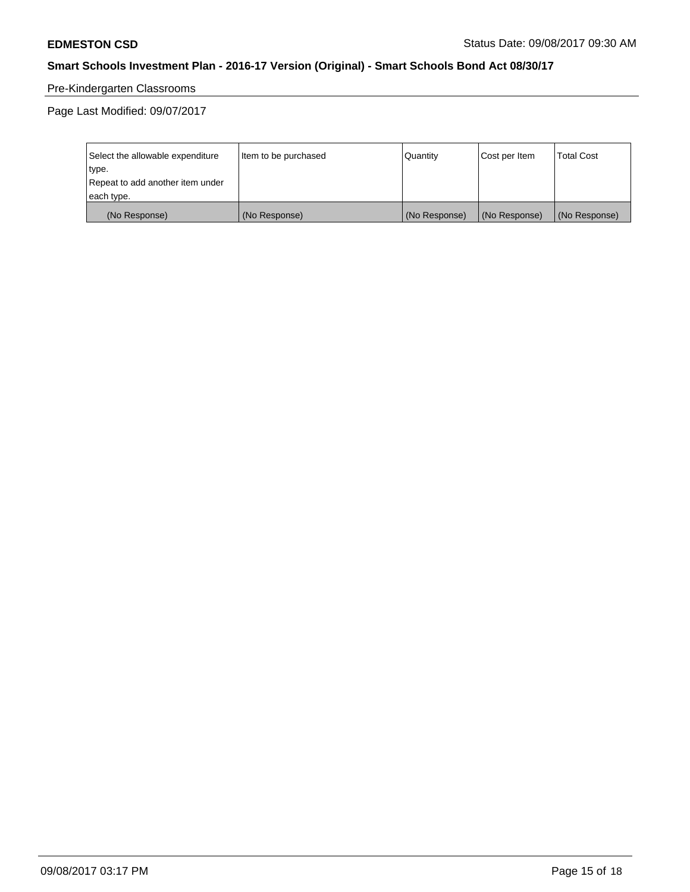# Pre-Kindergarten Classrooms

| Select the allowable expenditure | Item to be purchased | Quantity      | Cost per Item | <b>Total Cost</b> |
|----------------------------------|----------------------|---------------|---------------|-------------------|
| type.                            |                      |               |               |                   |
| Repeat to add another item under |                      |               |               |                   |
| each type.                       |                      |               |               |                   |
| (No Response)                    | (No Response)        | (No Response) | (No Response) | (No Response)     |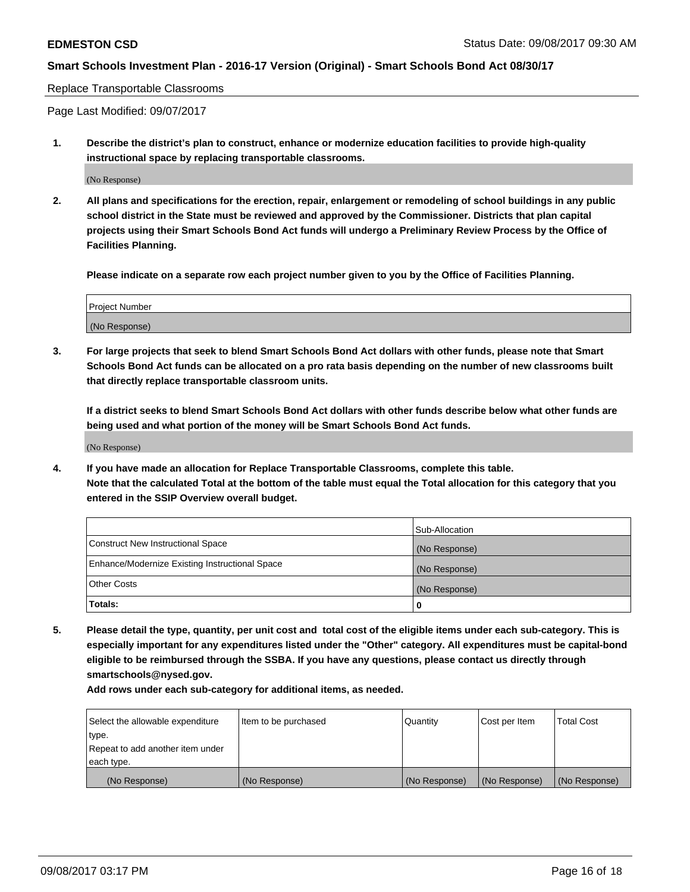#### Replace Transportable Classrooms

Page Last Modified: 09/07/2017

**1. Describe the district's plan to construct, enhance or modernize education facilities to provide high-quality instructional space by replacing transportable classrooms.**

(No Response)

**2. All plans and specifications for the erection, repair, enlargement or remodeling of school buildings in any public school district in the State must be reviewed and approved by the Commissioner. Districts that plan capital projects using their Smart Schools Bond Act funds will undergo a Preliminary Review Process by the Office of Facilities Planning.**

**Please indicate on a separate row each project number given to you by the Office of Facilities Planning.**

| <b>Project Number</b> |  |
|-----------------------|--|
| (No Response)         |  |

**3. For large projects that seek to blend Smart Schools Bond Act dollars with other funds, please note that Smart Schools Bond Act funds can be allocated on a pro rata basis depending on the number of new classrooms built that directly replace transportable classroom units.**

**If a district seeks to blend Smart Schools Bond Act dollars with other funds describe below what other funds are being used and what portion of the money will be Smart Schools Bond Act funds.**

(No Response)

**4. If you have made an allocation for Replace Transportable Classrooms, complete this table. Note that the calculated Total at the bottom of the table must equal the Total allocation for this category that you entered in the SSIP Overview overall budget.**

|                                                | Sub-Allocation |
|------------------------------------------------|----------------|
| Construct New Instructional Space              | (No Response)  |
| Enhance/Modernize Existing Instructional Space | (No Response)  |
| <b>Other Costs</b>                             | (No Response)  |
| Totals:                                        | 0              |

**5. Please detail the type, quantity, per unit cost and total cost of the eligible items under each sub-category. This is especially important for any expenditures listed under the "Other" category. All expenditures must be capital-bond eligible to be reimbursed through the SSBA. If you have any questions, please contact us directly through smartschools@nysed.gov.**

| Select the allowable expenditure | Item to be purchased | Quantity      | Cost per Item | <b>Total Cost</b> |
|----------------------------------|----------------------|---------------|---------------|-------------------|
| type.                            |                      |               |               |                   |
| Repeat to add another item under |                      |               |               |                   |
| each type.                       |                      |               |               |                   |
| (No Response)                    | (No Response)        | (No Response) | (No Response) | (No Response)     |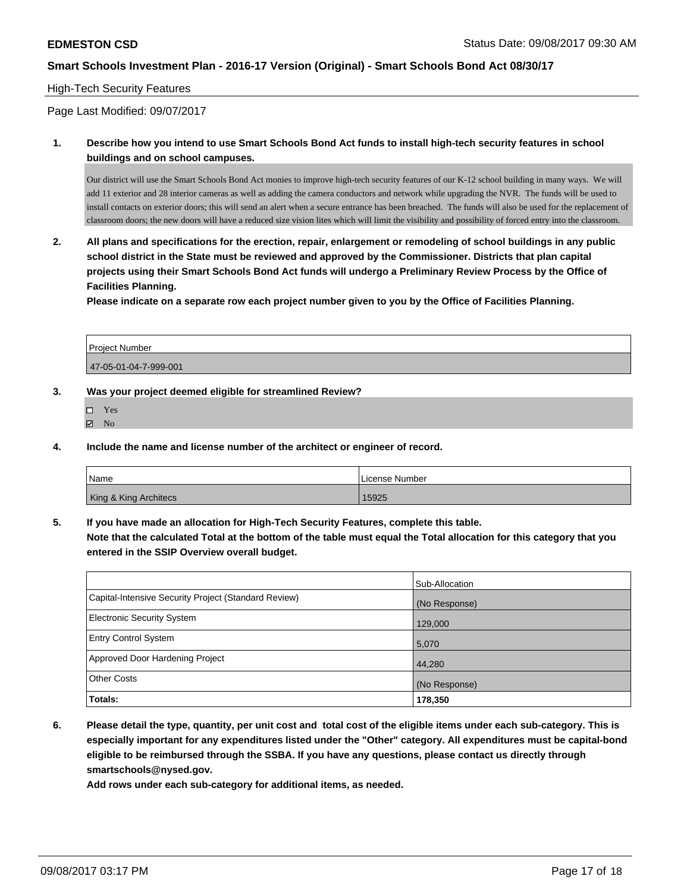#### High-Tech Security Features

Page Last Modified: 09/07/2017

## **1. Describe how you intend to use Smart Schools Bond Act funds to install high-tech security features in school buildings and on school campuses.**

Our district will use the Smart Schools Bond Act monies to improve high-tech security features of our K-12 school building in many ways. We will add 11 exterior and 28 interior cameras as well as adding the camera conductors and network while upgrading the NVR. The funds will be used to install contacts on exterior doors; this will send an alert when a secure entrance has been breached. The funds will also be used for the replacement of classroom doors; the new doors will have a reduced size vision lites which will limit the visibility and possibility of forced entry into the classroom.

**2. All plans and specifications for the erection, repair, enlargement or remodeling of school buildings in any public school district in the State must be reviewed and approved by the Commissioner. Districts that plan capital projects using their Smart Schools Bond Act funds will undergo a Preliminary Review Process by the Office of Facilities Planning.** 

**Please indicate on a separate row each project number given to you by the Office of Facilities Planning.**

| Project Number        |  |
|-----------------------|--|
| 47-05-01-04-7-999-001 |  |

#### **3. Was your project deemed eligible for streamlined Review?**

- Yes
- $\boxtimes$  No
- **4. Include the name and license number of the architect or engineer of record.**

| Name                  | License Number |
|-----------------------|----------------|
| King & King Architecs | 15925          |

**5. If you have made an allocation for High-Tech Security Features, complete this table.**

**Note that the calculated Total at the bottom of the table must equal the Total allocation for this category that you entered in the SSIP Overview overall budget.**

|                                                      | Sub-Allocation |
|------------------------------------------------------|----------------|
| Capital-Intensive Security Project (Standard Review) | (No Response)  |
| <b>Electronic Security System</b>                    | 129,000        |
| <b>Entry Control System</b>                          | 5,070          |
| Approved Door Hardening Project                      | 44,280         |
| <b>Other Costs</b>                                   | (No Response)  |
| Totals:                                              | 178,350        |

**6. Please detail the type, quantity, per unit cost and total cost of the eligible items under each sub-category. This is especially important for any expenditures listed under the "Other" category. All expenditures must be capital-bond eligible to be reimbursed through the SSBA. If you have any questions, please contact us directly through smartschools@nysed.gov.**